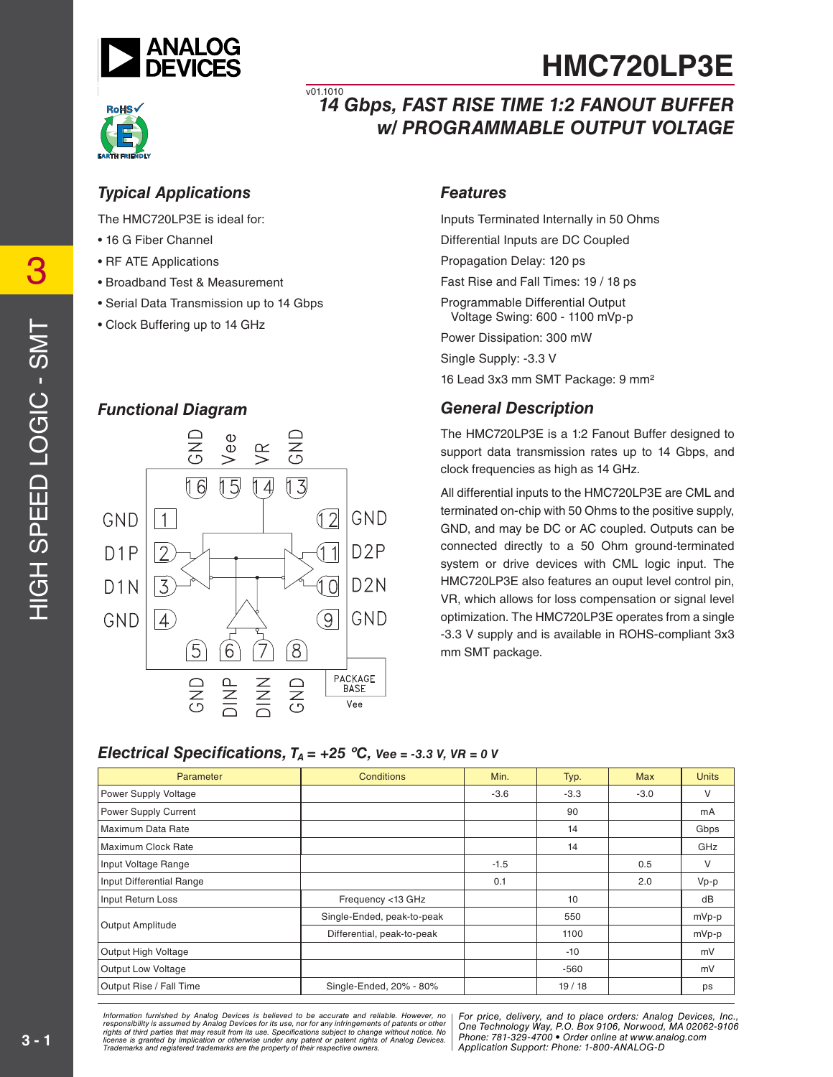



## *14 Gbps, FAST RISE TIME 1:2 FANOUT BUFFER w/ PROGRAMMABLE OUTPUT VOLTAGE*  $\overline{v01.1010}$

### *Typical Applications*

The HMC720LP3E is ideal for:

- 16 G Fiber Channel
- RF ATE Applications
- Broadband Test & Measurement
- Serial Data Transmission up to 14 Gbps
- Clock Buffering up to 14 GHz

### *Functional Diagram*



#### *Features*

Inputs Terminated Internally in 50 Ohms Differential Inputs are DC Coupled Propagation Delay: 120 ps Fast Rise and Fall Times: 19 / 18 ps Programmable Differential Output Voltage Swing: 600 - 1100 mVp-p

**HMC720LP3E**

Power Dissipation: 300 mW

Single Supply: -3.3 V

16 Lead 3x3 mm SMT Package: 9 mm2

### *General Description*

The HMC720LP3E is a 1:2 Fanout Buffer designed to support data transmission rates up to 14 Gbps, and clock frequencies as high as 14 GHz.

All differential inputs to the HMC720LP3E are CML and terminated on-chip with 50 Ohms to the positive supply, GND, and may be DC or AC coupled. Outputs can be connected directly to a 50 Ohm ground-terminated system or drive devices with CML logic input. The HMC720LP3E also features an ouput level control pin, VR, which allows for loss compensation or signal level optimization. The HMC720LP3E operates from a single -3.3 V supply and is available in ROHS-compliant 3x3 mm SMT package.

### *Electrical Specifications,*  $T_A = +25 \degree C$ ,  $Vee = -3.3 V$ ,  $VR = 0 V$

| Parameter                 | <b>Conditions</b>          | Min.   | Typ.   | <b>Max</b> | <b>Units</b> |
|---------------------------|----------------------------|--------|--------|------------|--------------|
| Power Supply Voltage      |                            | $-3.6$ | $-3.3$ | $-3.0$     | V            |
| Power Supply Current      |                            |        | 90     |            | mA           |
| Maximum Data Rate         |                            |        | 14     |            | Gbps         |
| Maximum Clock Rate        |                            |        | 14     |            | GHz          |
| Input Voltage Range       |                            | $-1.5$ |        | 0.5        | V            |
| Input Differential Range  |                            | 0.1    |        | 2.0        | $Vp-p$       |
| Input Return Loss         | Frequency <13 GHz          |        | 10     |            | dB           |
| Output Amplitude          | Single-Ended, peak-to-peak |        | 550    |            | mVp-p        |
|                           | Differential, peak-to-peak |        | 1100   |            | mVp-p        |
| Output High Voltage       |                            |        | $-10$  |            | mV           |
| <b>Output Low Voltage</b> |                            |        | $-560$ |            | mV           |
| Output Rise / Fall Time   | Single-Ended, 20% - 80%    |        | 19/18  |            | ps           |

rmation furnished by Analog Devices is believed to be accurate and reliable. However, no [For price, delivery, and to place orders: Analog Devices,<br>ponsibility is assumed by Analog Devices for its use, nor for any infringe nay result from its use. Specifications subject to change without notice. No change of the state of the state o<br>cation or otherwise under any patent or patent rights of Analog Devices Phone: 781-329-4700 • Order online at are the property of their respective owners. The compact of  $\Lambda$  Application Support: Phone: 1-8343 or apps and  $\Lambda$ *Information furnished by Analog Devices is believed to be accurate and reliable. However, no*  responsibility is assumed by Analog Devices for its use, nor for any infringements of patents or other<br>rights of third parties that may result from its use. Specifications subject to change without notice. No<br>license is gr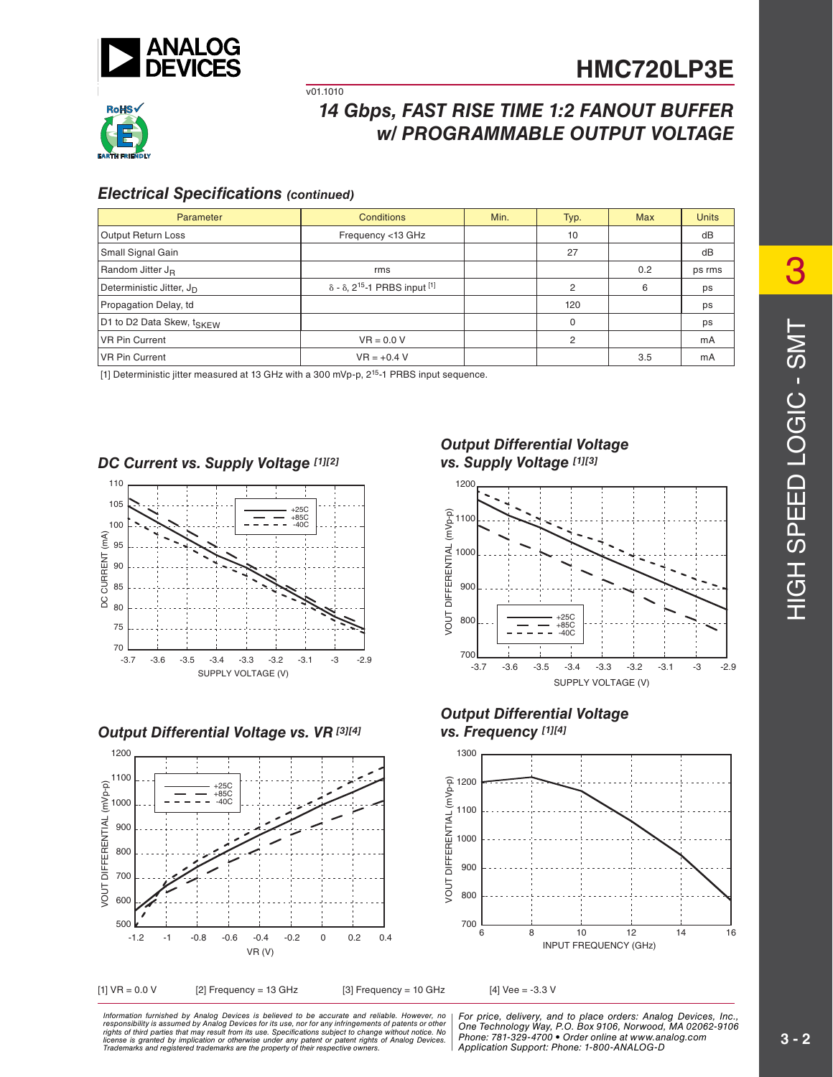



# *14 Gbps, FAST RISE TIME 1:2 FANOUT BUFFER w/ PROGRAMMABLE OUTPUT VOLTAGE*

#### **Electrical Specifications (continued)**

| Parameter                             | <b>Conditions</b>                                       | Min. | Typ. | <b>Max</b> | <b>Units</b> |
|---------------------------------------|---------------------------------------------------------|------|------|------------|--------------|
| Output Return Loss                    | Frequency <13 GHz                                       |      | 10   |            | dB           |
| Small Signal Gain                     |                                                         |      | 27   |            | dB           |
| Random Jitter J <sub>B</sub>          | rms                                                     |      |      | 0.2        | ps rms       |
| Deterministic Jitter, J <sub>D</sub>  | $\delta$ - $\delta$ , 2 <sup>15</sup> -1 PRBS input [1] |      | 2    | 6          | ps           |
| Propagation Delay, td                 |                                                         |      | 120  |            | ps           |
| D1 to D2 Data Skew, t <sub>SKEW</sub> |                                                         |      | 0    |            | ps           |
| <b>VR Pin Current</b>                 | $VR = 0.0 V$                                            |      | 2    |            | mA           |
| VR Pin Current                        | $VR = +0.4 V$                                           |      |      | 3.5        | mA           |

[1] Deterministic jitter measured at 13 GHz with a 300 mVp-p, 2<sup>15</sup>-1 PRBS input sequence.

v01.1010

#### *DC Current vs. Supply Voltage [1][2]*



#### *Output Differential Voltage vs. VR [3][4]*



#### *Output Differential Voltage vs. Supply Voltage [1][3]*



#### *Output Differential Voltage vs. Frequency [1][4]*



rmation furnished by Analog Devices is believed to be accurate and reliable. However, no [For price, delivery, and to place orders: Analog Devices,<br>ponsibility is assumed by Analog Devices for its use, nor for any infringe nay result from its use. Specifications subject to change without notice. No change of the state of the state o<br>cation or otherwise under any patent or patent rights of Analog Devices Phone: 781-329-4700 • Order online at are the property of their respective owners. The compact of  $\Lambda$  Application Support: Phone: 1-8343 or apps and  $\Lambda$ *Information furnished by Analog Devices is believed to be accurate and reliable. However, no*  responsibility is assumed by Analog Devices for its use, nor for any infringements of patents or other<br>rights of third parties that may result from its use. Specifications subject to change without notice. No<br>license is gr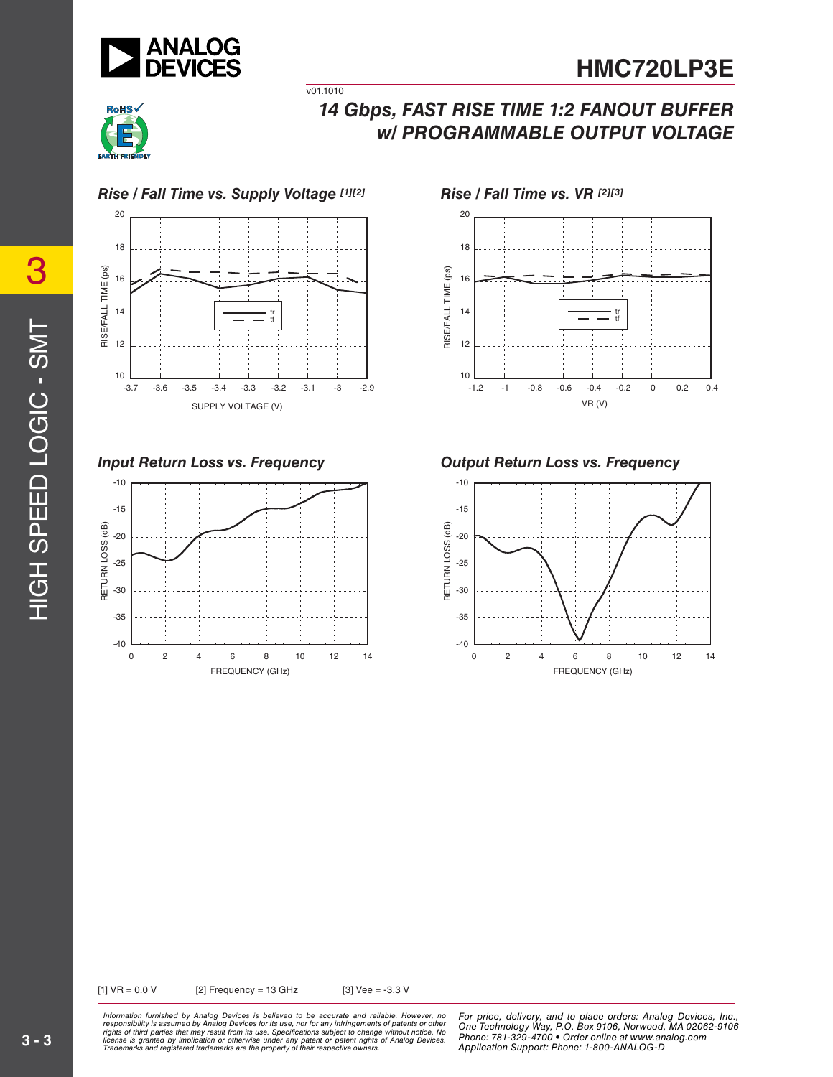



# *14 Gbps, FAST RISE TIME 1:2 FANOUT BUFFER w/ PROGRAMMABLE OUTPUT VOLTAGE*



v01.1010





*Input Return Loss vs. Frequency Output Return Loss vs. Frequency*



[1] VR = 0.0 V [2] Frequency = 13 GHz [3] Vee = -3.3 V

ormation furnished by Analog Devices is believed to be accurate and reliable. However, no | For price, delivery, and to place orders: Analog Devices, Inc.,<br>ponsibility is assumed by Analog Devices for its use, not for any nay result from its use. Specifications subject to change without notice. No change of the state of the state o<br>cation or otherwise under any patent or patent rights of Analog Devices Phone: 781-329-4700 • Order online at are the property of their respective owners. The compact of  $\Lambda$  Application Support: Phone: 1-8343 or apps and  $\Lambda$ *Information furnished by Analog Devices is believed to be accurate and reliable. However, no*  responsibility is assumed by Analog Devices for its use, nor for any infringements of patents or other<br>rights of third parties that may result from its use. Specifications subject to change without notice. No<br>license is gr

*Phone: 781-329-4700 • Order online at www.analog.com Application Support: Phone: 1-800-ANALOG-D*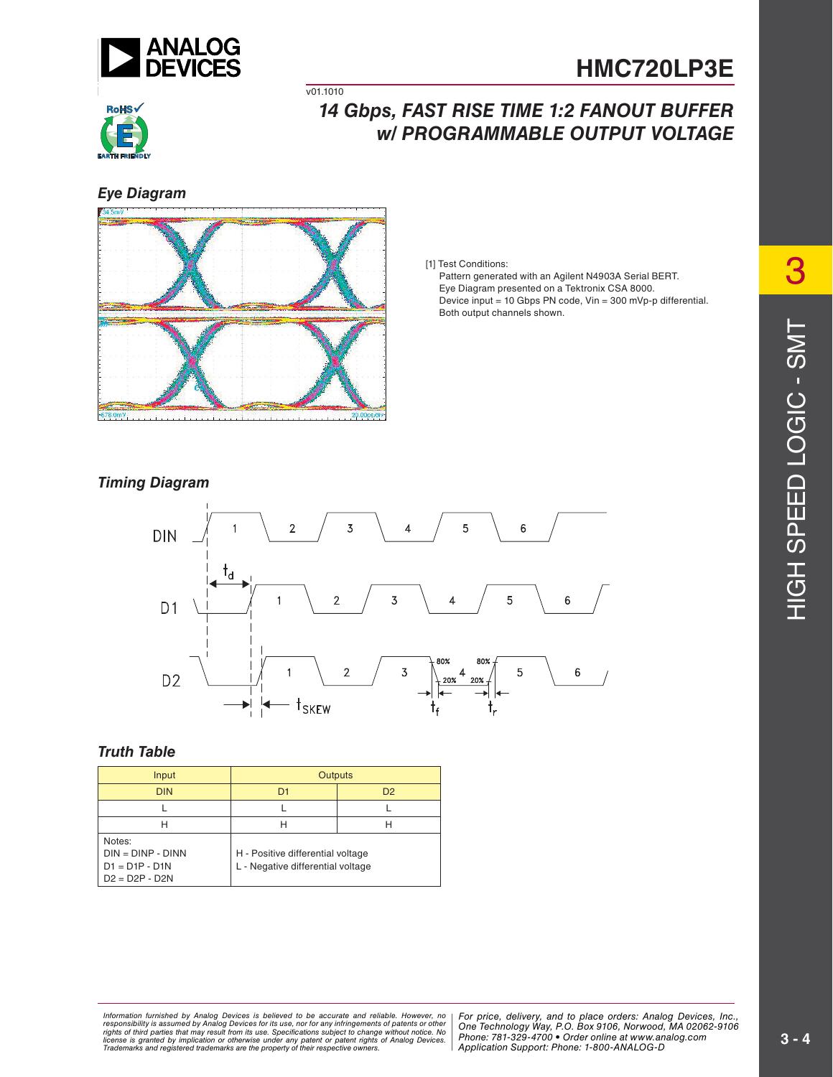



## *14 Gbps, FAST RISE TIME 1:2 FANOUT BUFFER w/ PROGRAMMABLE OUTPUT VOLTAGE*

*Eye Diagram*



v01.1010

[1] Test Conditions:

 Pattern generated with an Agilent N4903A Serial BERT. Eye Diagram presented on a Tektronix CSA 8000. Device input = 10 Gbps PN code, Vin = 300 mVp-p differential. Both output channels shown.

#### *Timing Diagram*



#### *Truth Table*

| Input                                                                 | <b>Outputs</b>                                                         |                |
|-----------------------------------------------------------------------|------------------------------------------------------------------------|----------------|
| <b>DIN</b>                                                            | D <sub>1</sub>                                                         | D <sub>2</sub> |
|                                                                       |                                                                        |                |
| н                                                                     | н                                                                      | н              |
| Notes:<br>$DIN = DINP - DINN$<br>$D1 = D1P - D1N$<br>$D2 = D2P - D2N$ | H - Positive differential voltage<br>L - Negative differential voltage |                |

ormation furnished by Analog Devices is believed to be accurate and reliable. However, no | For price, delivery, and to place orders: Analog Devices, Inc.,<br>ponsibility is assumed by Analog Devices for its use, nor for any nay result from its use. Specifications subject to change without notice. No change of the state of the state o<br>cation or otherwise under any patent or patent rights of Analog Devices Phone: 781-329-4700 • Order online at are the property of their respective owners. The compact of  $\Lambda$  Application Support: Phone: 1-8343 or apps and  $\Lambda$ *Information furnished by Analog Devices is believed to be accurate and reliable. However, no*  responsibility is assumed by Analog Devices for its use, nor for any infringements of patents or other<br>rights of third parties that may result from its use. Specifications subject to change without notice. No<br>license is gr

*Application Support: Phone: 1-800-ANALOG-D*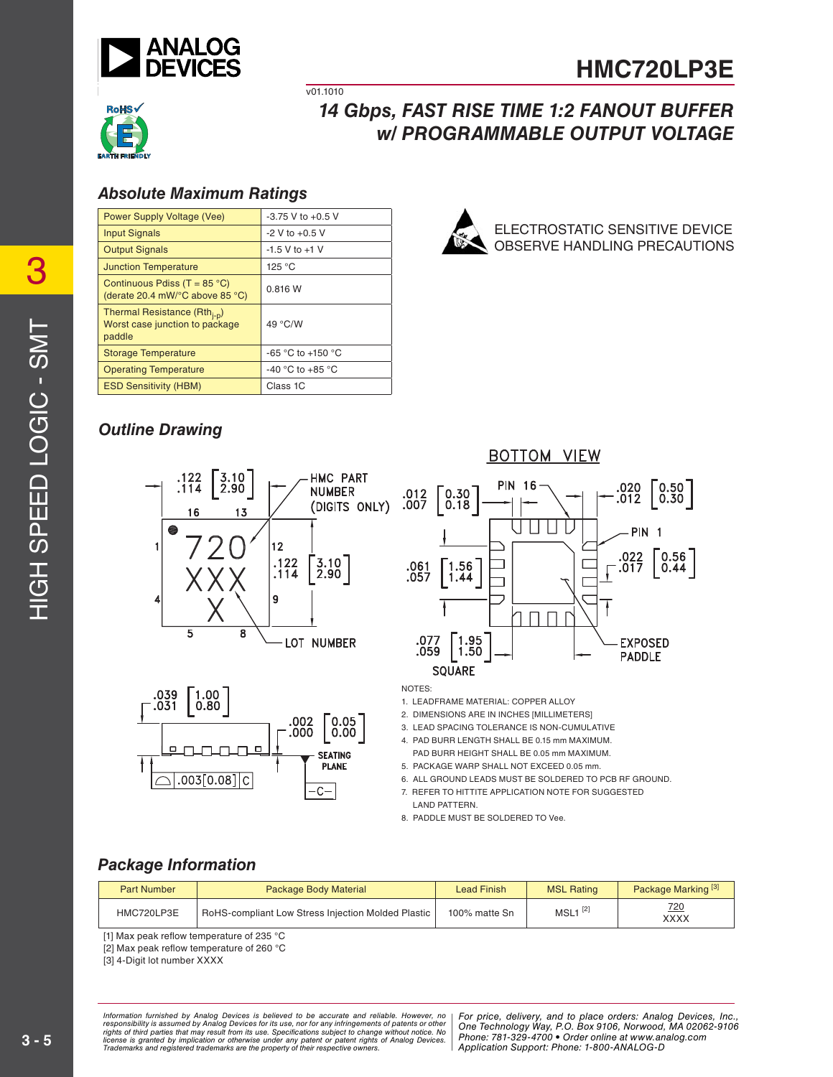

ELECTROSTATIC SENSITIVE DEVICE OBSERVE HANDLING PRECAUTIONS



# *14 Gbps, FAST RISE TIME 1:2 FANOUT BUFFER w/ PROGRAMMABLE OUTPUT VOLTAGE*

## *Absolute Maximum Ratings*

| $-3.75$ V to $+0.5$ V |
|-----------------------|
| $-2$ V to $+0.5$ V    |
| $-1.5$ V to $+1$ V    |
| 125 °C                |
| 0.816 W               |
| 49 °C/W               |
| -65 °C to +150 °C     |
| -40 °C to +85 °C      |
| Class 1C              |
|                       |

 $\overline{v01.1010}$ 

## *Outline Drawing*





**BOTTOM VIEW** 



NOTES:

1. LEADFRAME MATERIAL: COPPER ALLOY

2. DIMENSIONS ARE IN INCHES [MILLIMETERS]

3. LEAD SPACING TOLERANCE IS NON-CUMULATIVE

- 4. PAD BURR LENGTH SHALL BE 0.15 mm MAXIMUM. PAD BURR HEIGHT SHALL BE 0.05 mm MAXIMUM.
- 5. PACKAGE WARP SHALL NOT EXCEED 0.05 mm.

6. ALL GROUND LEADS MUST BE SOLDERED TO PCB RF GROUND.

- 7. REFER TO HITTITE APPLICATION NOTE FOR SUGGESTED
- LAND PATTERN. 8. PADDLE MUST BE SOLDERED TO Vee.

### *Package Information*

| <b>Part Number</b> | <b>Package Body Material</b>                       | <b>Lead Finish</b> | <b>MSL Rating</b>     | Package Marking <sup>[3]</sup> |
|--------------------|----------------------------------------------------|--------------------|-----------------------|--------------------------------|
| HMC720LP3E         | RoHS-compliant Low Stress Injection Molded Plastic | 100% matte Sn      | $MSL1$ <sup>[2]</sup> | 720<br>XXXX                    |

[1] Max peak reflow temperature of 235 °C

[2] Max peak reflow temperature of 260  $^{\circ}$ C

[3] 4-Digit lot number XXXX

rmation furnished by Analog Devices is believed to be accurate and reliable. However, no [For price, delivery, and to place orders: Analog Devices,<br>ponsibility is assumed by Analog Devices for its use, nor for any infringe nay result from its use. Specifications subject to change without notice. No change of the state of the state o<br>cation or otherwise under any patent or patent rights of Analog Devices Phone: 781-329-4700 • Order online at are the property of their respective owners. The compact of  $\Lambda$  Application Support: Phone: 1-8343 or apps and  $\Lambda$ *Information furnished by Analog Devices is believed to be accurate and reliable. However, no*  responsibility is assumed by Analog Devices for its use, nor for any infringements of patents or other<br>rights of third parties that may result from its use. Specifications subject to change without notice. No<br>license is gr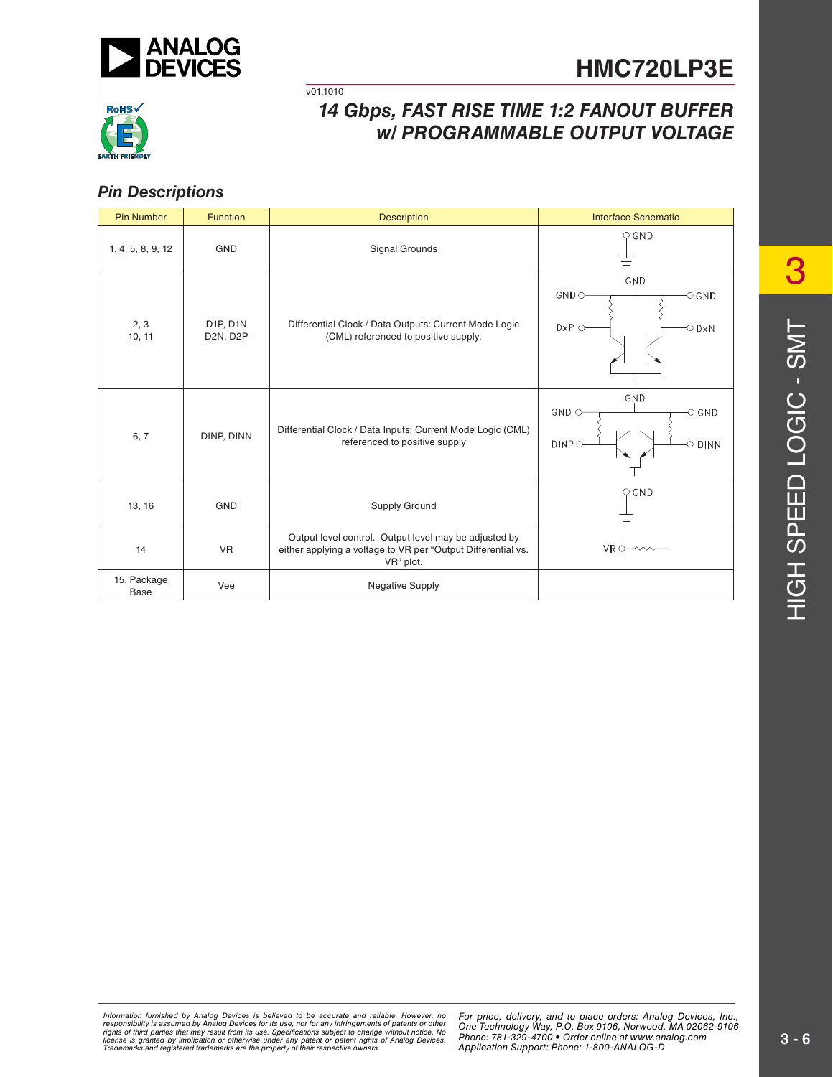



# *14 Gbps, FAST RISE TIME 1:2 FANOUT BUFFER w/ PROGRAMMABLE OUTPUT VOLTAGE*

## *Pin Descriptions*

| <b>Pin Number</b>   | <b>Function</b>      | <b>Description</b>                                                                                                                 | <b>Interface Schematic</b>                                                    |
|---------------------|----------------------|------------------------------------------------------------------------------------------------------------------------------------|-------------------------------------------------------------------------------|
| 1, 4, 5, 8, 9, 12   | <b>GND</b>           | Signal Grounds                                                                                                                     | $\bigcirc$ GND                                                                |
| 2, 3<br>10, 11      | D1P, D1N<br>D2N, D2P | Differential Clock / Data Outputs: Current Mode Logic<br>(CML) referenced to positive supply.                                      | GND<br>$GND$ $\circ$<br>$\circ$ GND<br>$D \times P$ $\circ$<br>$\bigcirc$ DxN |
| 6, 7                | DINP, DINN           | Differential Clock / Data Inputs: Current Mode Logic (CML)<br>referenced to positive supply                                        | GND<br>$GND$ $\circ$<br>$\circ$ GND<br>DINPO<br>$\circ$ dinn                  |
| 13, 16              | <b>GND</b>           | Supply Ground                                                                                                                      | $\bigcirc$ GND                                                                |
| 14                  | <b>VR</b>            | Output level control. Output level may be adjusted by<br>either applying a voltage to VR per "Output Differential vs.<br>VR" plot. | $VR$ $\circ$ $\sim$ $\sim$ $\sim$                                             |
| 15, Package<br>Base | Vee                  | <b>Negative Supply</b>                                                                                                             |                                                                               |

v01.1010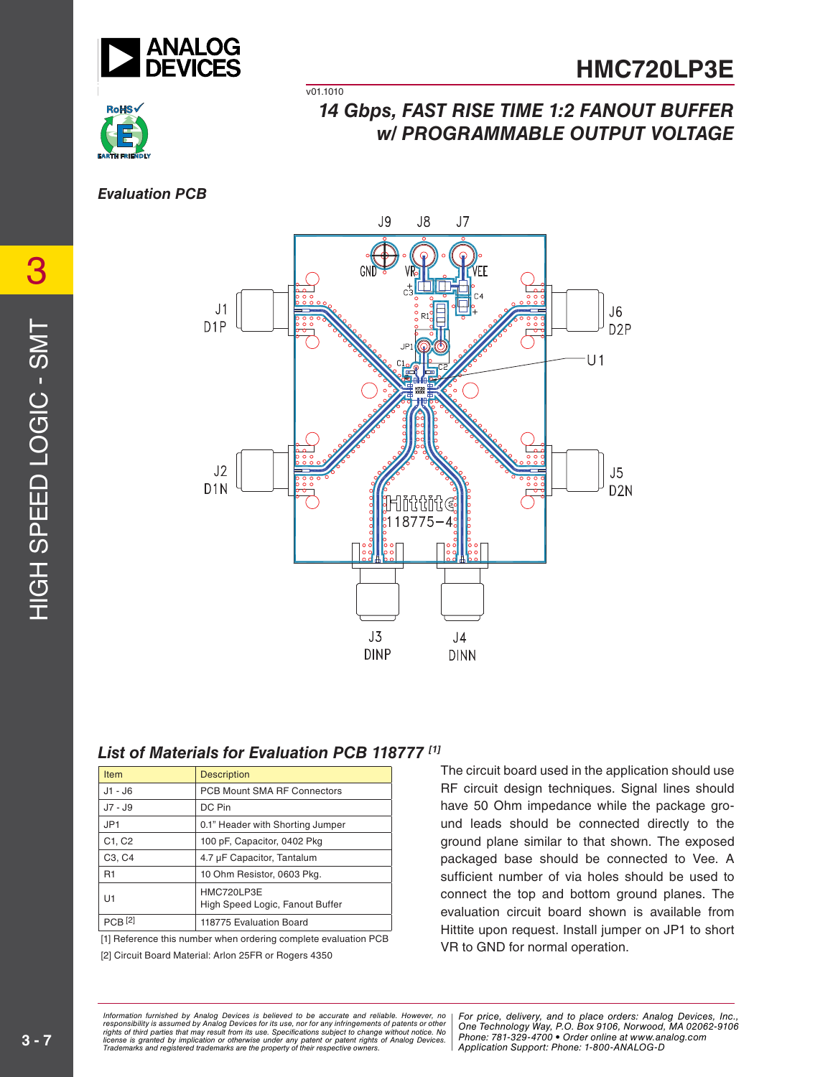

v01.1010



# *14 Gbps, FAST RISE TIME 1:2 FANOUT BUFFER w/ PROGRAMMABLE OUTPUT VOLTAGE*

#### *Evaluation PCB*



## *List of Materials for Evaluation PCB 118777 [1]*

| <b>Item</b>                     | <b>Description</b>                            |
|---------------------------------|-----------------------------------------------|
| $J1 - J6$                       | PCB Mount SMA RF Connectors                   |
| J7 - J9                         | DC Pin                                        |
| JP <sub>1</sub>                 | 0.1" Header with Shorting Jumper              |
| C1, C2                          | 100 pF, Capacitor, 0402 Pkg                   |
| C <sub>3</sub> , C <sub>4</sub> | 4.7 µF Capacitor, Tantalum                    |
| R <sub>1</sub>                  | 10 Ohm Resistor, 0603 Pkg.                    |
| U1                              | HMC720LP3E<br>High Speed Logic, Fanout Buffer |
|                                 | 118775 Evaluation Board                       |

[1] Reference this number when ordering complete evaluation PCB

[2] Circuit Board Material: Arlon 25FR or Rogers 4350

The circuit board used in the application should use RF circuit design techniques. Signal lines should have 50 Ohm impedance while the package ground leads should be connected directly to the ground plane similar to that shown. The exposed packaged base should be connected to Vee. A sufficient number of via holes should be used to connect the top and bottom ground planes. The evaluation circuit board shown is available from Hittite upon request. Install jumper on JP1 to short VR to GND for normal operation.

rmation furnished by Analog Devices is believed to be accurate and reliable. However, no [For price, delivery, and to place orders: Analog Devices,<br>ponsibility is assumed by Analog Devices for its use, nor for any infringe nay result from its use. Specifications subject to change without notice. No change of the state of the state o<br>cation or otherwise under any patent or patent rights of Analog Devices Phone: 781-329-4700 • Order online at are the property of their respective owners. The compact of  $\Lambda$  Application Support: Phone: 1-8343 or apps and  $\Lambda$ *Information furnished by Analog Devices is believed to be accurate and reliable. However, no*  responsibility is assumed by Analog Devices for its use, nor for any infringements of patents or other<br>rights of third parties that may result from its use. Specifications subject to change without notice. No<br>license is gr